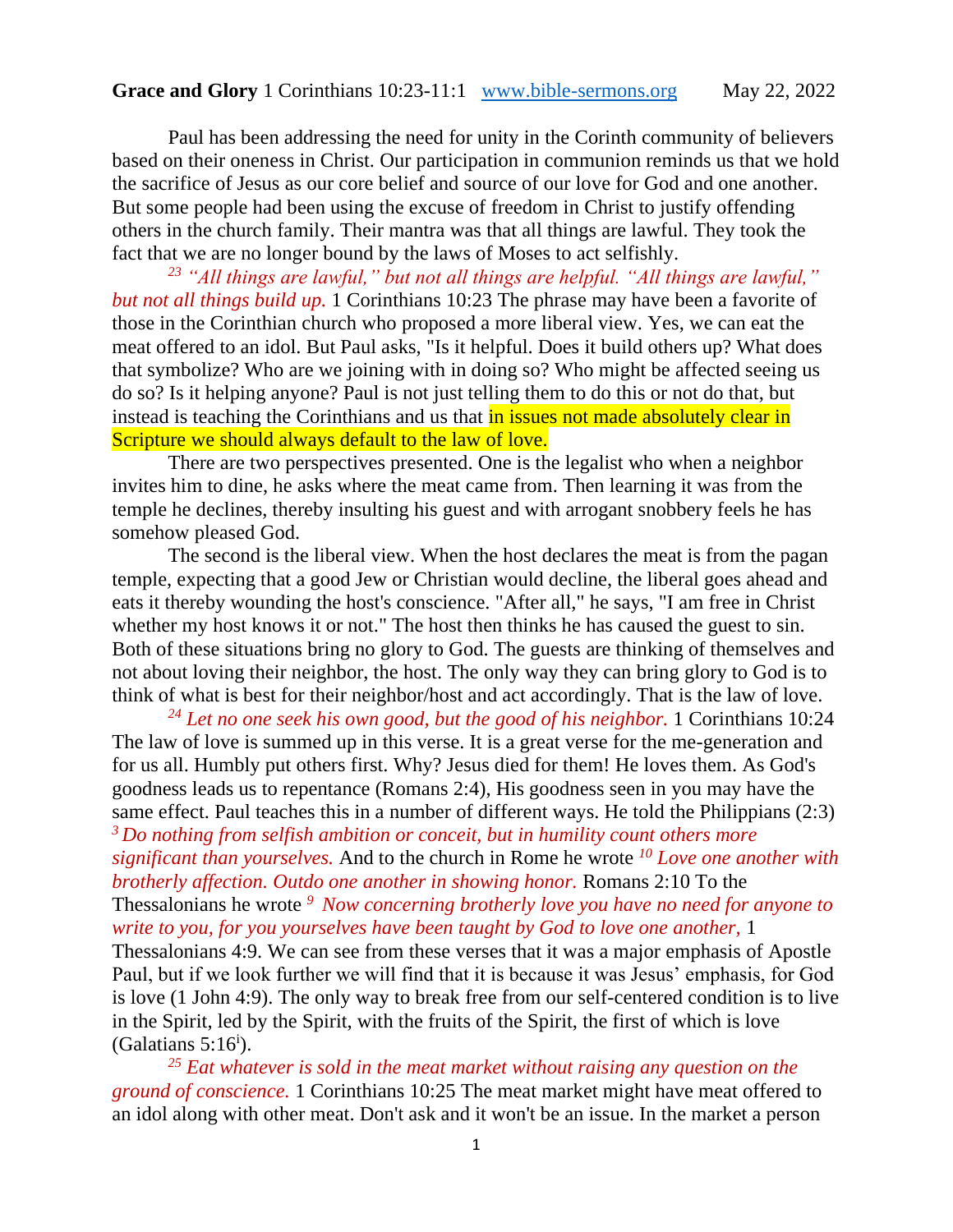Paul has been addressing the need for unity in the Corinth community of believers based on their oneness in Christ. Our participation in communion reminds us that we hold the sacrifice of Jesus as our core belief and source of our love for God and one another. But some people had been using the excuse of freedom in Christ to justify offending others in the church family. Their mantra was that all things are lawful. They took the fact that we are no longer bound by the laws of Moses to act selfishly.

*<sup>23</sup> "All things are lawful," but not all things are helpful. "All things are lawful," but not all things build up.* 1 Corinthians 10:23 The phrase may have been a favorite of those in the Corinthian church who proposed a more liberal view. Yes, we can eat the meat offered to an idol. But Paul asks, "Is it helpful. Does it build others up? What does that symbolize? Who are we joining with in doing so? Who might be affected seeing us do so? Is it helping anyone? Paul is not just telling them to do this or not do that, but instead is teaching the Corinthians and us that in issues not made absolutely clear in Scripture we should always default to the law of love.

There are two perspectives presented. One is the legalist who when a neighbor invites him to dine, he asks where the meat came from. Then learning it was from the temple he declines, thereby insulting his guest and with arrogant snobbery feels he has somehow pleased God.

The second is the liberal view. When the host declares the meat is from the pagan temple, expecting that a good Jew or Christian would decline, the liberal goes ahead and eats it thereby wounding the host's conscience. "After all," he says, "I am free in Christ whether my host knows it or not." The host then thinks he has caused the guest to sin. Both of these situations bring no glory to God. The guests are thinking of themselves and not about loving their neighbor, the host. The only way they can bring glory to God is to think of what is best for their neighbor/host and act accordingly. That is the law of love.

*<sup>24</sup> Let no one seek his own good, but the good of his neighbor.* 1 Corinthians 10:24 The law of love is summed up in this verse. It is a great verse for the me-generation and for us all. Humbly put others first. Why? Jesus died for them! He loves them. As God's goodness leads us to repentance (Romans 2:4), His goodness seen in you may have the same effect. Paul teaches this in a number of different ways. He told the Philippians (2:3) *<sup>3</sup>Do nothing from selfish ambition or conceit, but in humility count others more significant than yourselves.* And to the church in Rome he wrote *<sup>10</sup> Love one another with brotherly affection. Outdo one another in showing honor.* Romans 2:10 To the Thessalonians he wrote *<sup>9</sup>Now concerning brotherly love you have no need for anyone to write to you, for you yourselves have been taught by God to love one another,* 1 Thessalonians 4:9. We can see from these verses that it was a major emphasis of Apostle Paul, but if we look further we will find that it is because it was Jesus' emphasis, for God is love (1 John 4:9). The only way to break free from our self-centered condition is to live in the Spirit, led by the Spirit, with the fruits of the Spirit, the first of which is love (Galatians  $5:16^i$ ).

*<sup>25</sup> Eat whatever is sold in the meat market without raising any question on the ground of conscience.* 1 Corinthians 10:25 The meat market might have meat offered to an idol along with other meat. Don't ask and it won't be an issue. In the market a person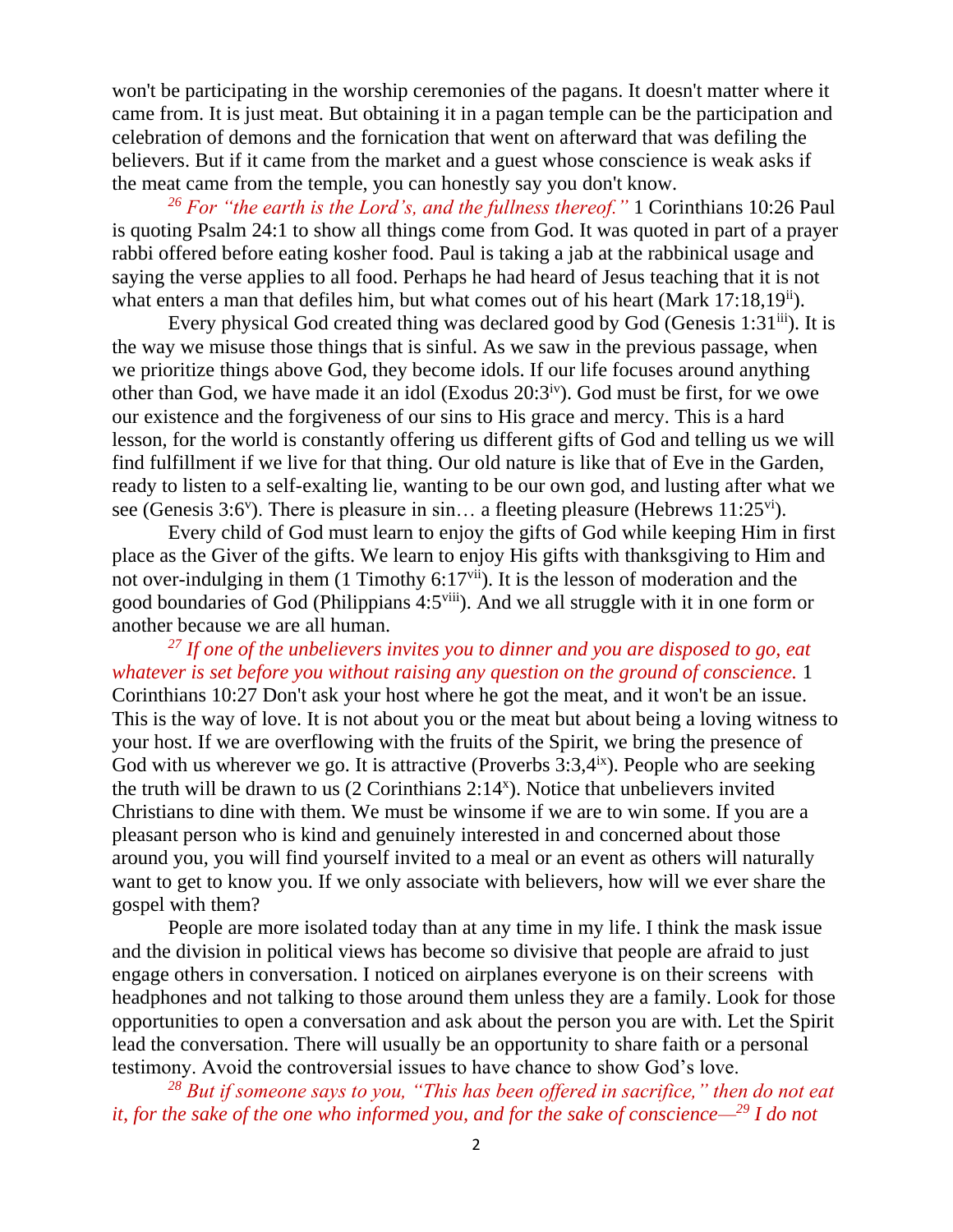won't be participating in the worship ceremonies of the pagans. It doesn't matter where it came from. It is just meat. But obtaining it in a pagan temple can be the participation and celebration of demons and the fornication that went on afterward that was defiling the believers. But if it came from the market and a guest whose conscience is weak asks if the meat came from the temple, you can honestly say you don't know.

*<sup>26</sup> For "the earth is the Lord's, and the fullness thereof."* 1 Corinthians 10:26 Paul is quoting Psalm 24:1 to show all things come from God. It was quoted in part of a prayer rabbi offered before eating kosher food. Paul is taking a jab at the rabbinical usage and saying the verse applies to all food. Perhaps he had heard of Jesus teaching that it is not what enters a man that defiles him, but what comes out of his heart (Mark 17:18,19<sup>ii</sup>).

Every physical God created thing was declared good by God (Genesis 1:31 $\rm{iii}$ ). It is the way we misuse those things that is sinful. As we saw in the previous passage, when we prioritize things above God, they become idols. If our life focuses around anything other than God, we have made it an idol (Exodus  $20:3^{\text{iv}}$ ). God must be first, for we owe our existence and the forgiveness of our sins to His grace and mercy. This is a hard lesson, for the world is constantly offering us different gifts of God and telling us we will find fulfillment if we live for that thing. Our old nature is like that of Eve in the Garden, ready to listen to a self-exalting lie, wanting to be our own god, and lusting after what we see (Genesis 3:6<sup>v</sup>). There is pleasure in sin... a fleeting pleasure (Hebrews 11:25<sup>vi</sup>).

Every child of God must learn to enjoy the gifts of God while keeping Him in first place as the Giver of the gifts. We learn to enjoy His gifts with thanksgiving to Him and not over-indulging in them (1 Timothy 6:17<sup>vii</sup>). It is the lesson of moderation and the good boundaries of God (Philippians 4:5viii). And we all struggle with it in one form or another because we are all human.

*<sup>27</sup> If one of the unbelievers invites you to dinner and you are disposed to go, eat whatever is set before you without raising any question on the ground of conscience.* 1 Corinthians 10:27 Don't ask your host where he got the meat, and it won't be an issue. This is the way of love. It is not about you or the meat but about being a loving witness to your host. If we are overflowing with the fruits of the Spirit, we bring the presence of God with us wherever we go. It is attractive (Proverbs  $3:3,4^{ix}$ ). People who are seeking the truth will be drawn to us  $(2$  Corinthians  $2:14<sup>x</sup>)$ . Notice that unbelievers invited Christians to dine with them. We must be winsome if we are to win some. If you are a pleasant person who is kind and genuinely interested in and concerned about those around you, you will find yourself invited to a meal or an event as others will naturally want to get to know you. If we only associate with believers, how will we ever share the gospel with them?

People are more isolated today than at any time in my life. I think the mask issue and the division in political views has become so divisive that people are afraid to just engage others in conversation. I noticed on airplanes everyone is on their screens with headphones and not talking to those around them unless they are a family. Look for those opportunities to open a conversation and ask about the person you are with. Let the Spirit lead the conversation. There will usually be an opportunity to share faith or a personal testimony. Avoid the controversial issues to have chance to show God's love.

*<sup>28</sup> But if someone says to you, "This has been offered in sacrifice," then do not eat it, for the sake of the one who informed you, and for the sake of conscience—<sup>29</sup> I do not*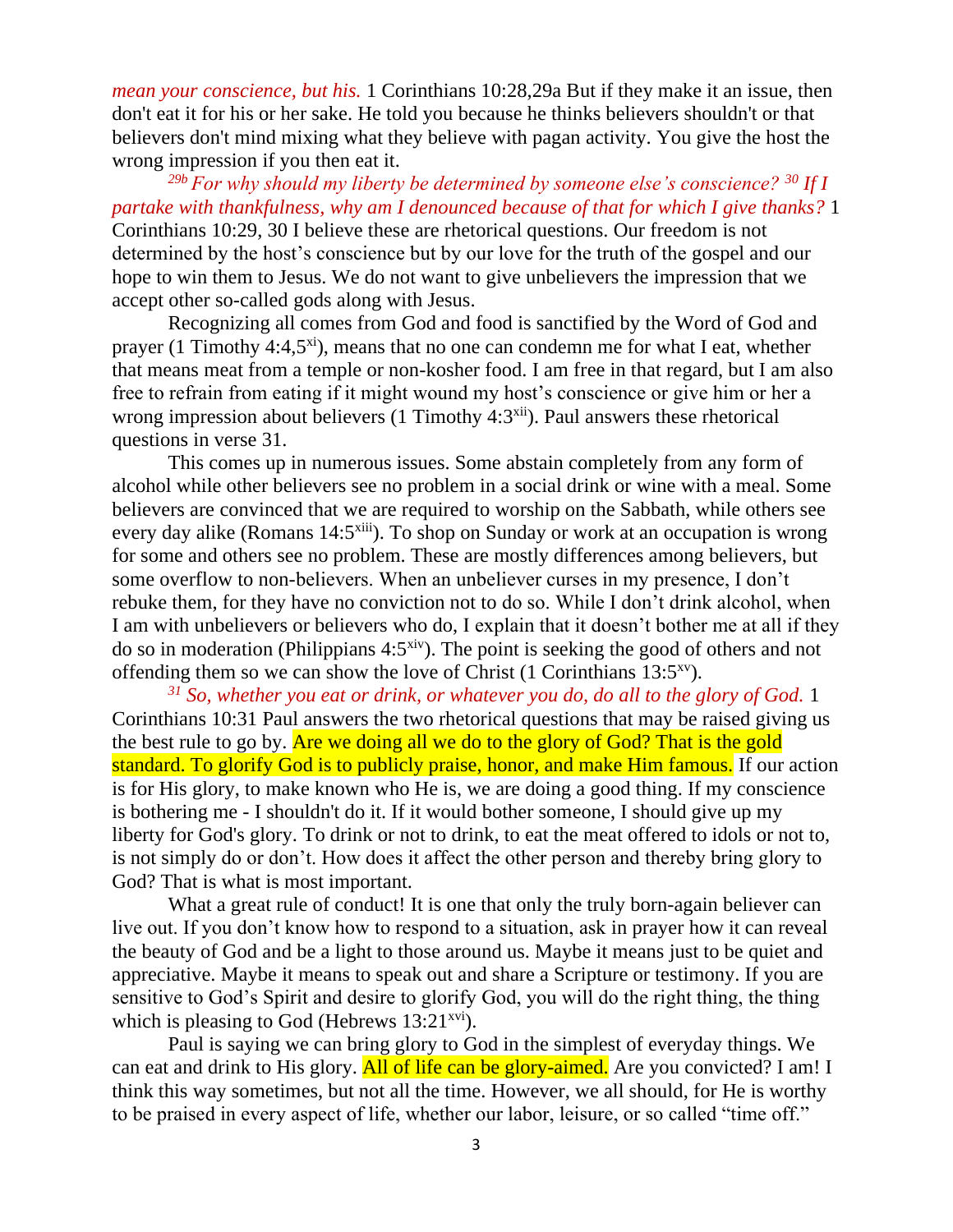*mean your conscience, but his.* 1 Corinthians 10:28,29a But if they make it an issue, then don't eat it for his or her sake. He told you because he thinks believers shouldn't or that believers don't mind mixing what they believe with pagan activity. You give the host the wrong impression if you then eat it.

*29b For why should my liberty be determined by someone else's conscience? <sup>30</sup> If I partake with thankfulness, why am I denounced because of that for which I give thanks?* 1 Corinthians 10:29, 30 I believe these are rhetorical questions. Our freedom is not determined by the host's conscience but by our love for the truth of the gospel and our hope to win them to Jesus. We do not want to give unbelievers the impression that we accept other so-called gods along with Jesus.

Recognizing all comes from God and food is sanctified by the Word of God and prayer (1 Timothy 4:4,5 $^{xi}$ ), means that no one can condemn me for what I eat, whether that means meat from a temple or non-kosher food. I am free in that regard, but I am also free to refrain from eating if it might wound my host's conscience or give him or her a wrong impression about believers (1 Timothy 4:3<sup>xii</sup>). Paul answers these rhetorical questions in verse 31.

This comes up in numerous issues. Some abstain completely from any form of alcohol while other believers see no problem in a social drink or wine with a meal. Some believers are convinced that we are required to worship on the Sabbath, while others see every day alike (Romans 14:5<sup>xiii</sup>). To shop on Sunday or work at an occupation is wrong for some and others see no problem. These are mostly differences among believers, but some overflow to non-believers. When an unbeliever curses in my presence, I don't rebuke them, for they have no conviction not to do so. While I don't drink alcohol, when I am with unbelievers or believers who do, I explain that it doesn't bother me at all if they do so in moderation (Philippians  $4:5^{xiv}$ ). The point is seeking the good of others and not offending them so we can show the love of Christ  $(1$  Corinthians 13:5<sup>xv</sup>).

*<sup>31</sup> So, whether you eat or drink, or whatever you do, do all to the glory of God.* 1 Corinthians 10:31 Paul answers the two rhetorical questions that may be raised giving us the best rule to go by. Are we doing all we do to the glory of God? That is the gold standard. To glorify God is to publicly praise, honor, and make Him famous. If our action is for His glory, to make known who He is, we are doing a good thing. If my conscience is bothering me - I shouldn't do it. If it would bother someone, I should give up my liberty for God's glory. To drink or not to drink, to eat the meat offered to idols or not to, is not simply do or don't. How does it affect the other person and thereby bring glory to God? That is what is most important.

What a great rule of conduct! It is one that only the truly born-again believer can live out. If you don't know how to respond to a situation, ask in prayer how it can reveal the beauty of God and be a light to those around us. Maybe it means just to be quiet and appreciative. Maybe it means to speak out and share a Scripture or testimony. If you are sensitive to God's Spirit and desire to glorify God, you will do the right thing, the thing which is pleasing to God (Hebrews  $13:21^{xvi}$ ).

Paul is saying we can bring glory to God in the simplest of everyday things. We can eat and drink to His glory. All of life can be glory-aimed. Are you convicted? I am! I think this way sometimes, but not all the time. However, we all should, for He is worthy to be praised in every aspect of life, whether our labor, leisure, or so called "time off."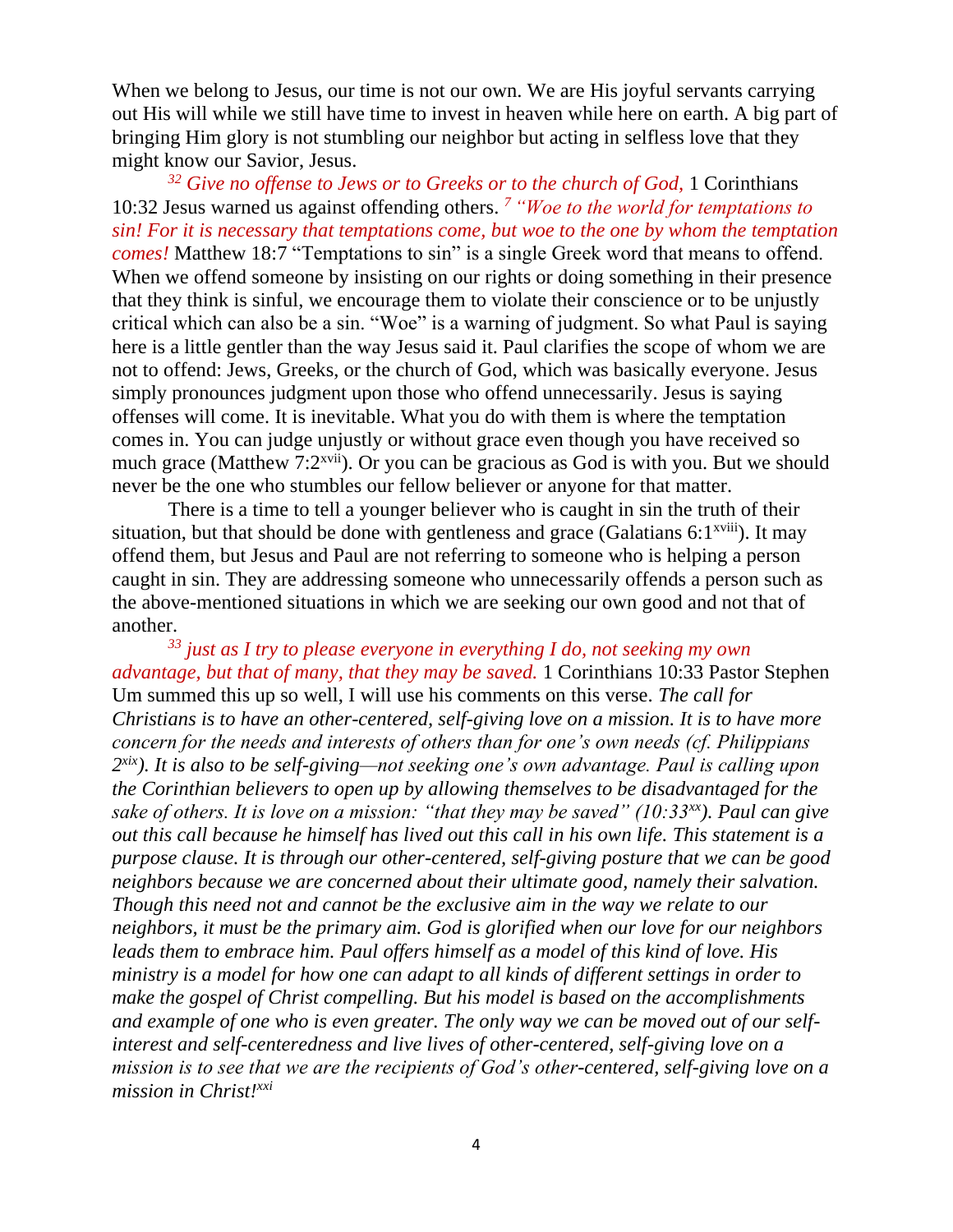When we belong to Jesus, our time is not our own. We are His joyful servants carrying out His will while we still have time to invest in heaven while here on earth. A big part of bringing Him glory is not stumbling our neighbor but acting in selfless love that they might know our Savior, Jesus.

*<sup>32</sup> Give no offense to Jews or to Greeks or to the church of God,* 1 Corinthians 10:32 Jesus warned us against offending others. *<sup>7</sup>"Woe to the world for temptations to sin! For it is necessary that temptations come, but woe to the one by whom the temptation comes!* Matthew 18:7 "Temptations to sin" is a single Greek word that means to offend. When we offend someone by insisting on our rights or doing something in their presence that they think is sinful, we encourage them to violate their conscience or to be unjustly critical which can also be a sin. "Woe" is a warning of judgment. So what Paul is saying here is a little gentler than the way Jesus said it. Paul clarifies the scope of whom we are not to offend: Jews, Greeks, or the church of God, which was basically everyone. Jesus simply pronounces judgment upon those who offend unnecessarily. Jesus is saying offenses will come. It is inevitable. What you do with them is where the temptation comes in. You can judge unjustly or without grace even though you have received so much grace (Matthew 7:2<sup>xvii</sup>). Or you can be gracious as God is with you. But we should never be the one who stumbles our fellow believer or anyone for that matter.

There is a time to tell a younger believer who is caught in sin the truth of their situation, but that should be done with gentleness and grace (Galatians  $6:1^{x\text{viii}}$ ). It may offend them, but Jesus and Paul are not referring to someone who is helping a person caught in sin. They are addressing someone who unnecessarily offends a person such as the above-mentioned situations in which we are seeking our own good and not that of another.

*<sup>33</sup> just as I try to please everyone in everything I do, not seeking my own advantage, but that of many, that they may be saved.* 1 Corinthians 10:33 Pastor Stephen Um summed this up so well, I will use his comments on this verse. *The call for Christians is to have an other-centered, self-giving love on a mission. It is to have more concern for the needs and interests of others than for one's own needs (cf. Philippians 2 xix). It is also to be self-giving—not seeking one's own advantage. Paul is calling upon the Corinthian believers to open up by allowing themselves to be disadvantaged for the sake of others. It is love on a mission: "that they may be saved" (10:33xx). Paul can give out this call because he himself has lived out this call in his own life. This statement is a purpose clause. It is through our other-centered, self-giving posture that we can be good neighbors because we are concerned about their ultimate good, namely their salvation. Though this need not and cannot be the exclusive aim in the way we relate to our neighbors, it must be the primary aim. God is glorified when our love for our neighbors leads them to embrace him. Paul offers himself as a model of this kind of love. His ministry is a model for how one can adapt to all kinds of different settings in order to make the gospel of Christ compelling. But his model is based on the accomplishments and example of one who is even greater. The only way we can be moved out of our selfinterest and self-centeredness and live lives of other-centered, self-giving love on a mission is to see that we are the recipients of God's other-centered, self-giving love on a mission in Christ!xxi*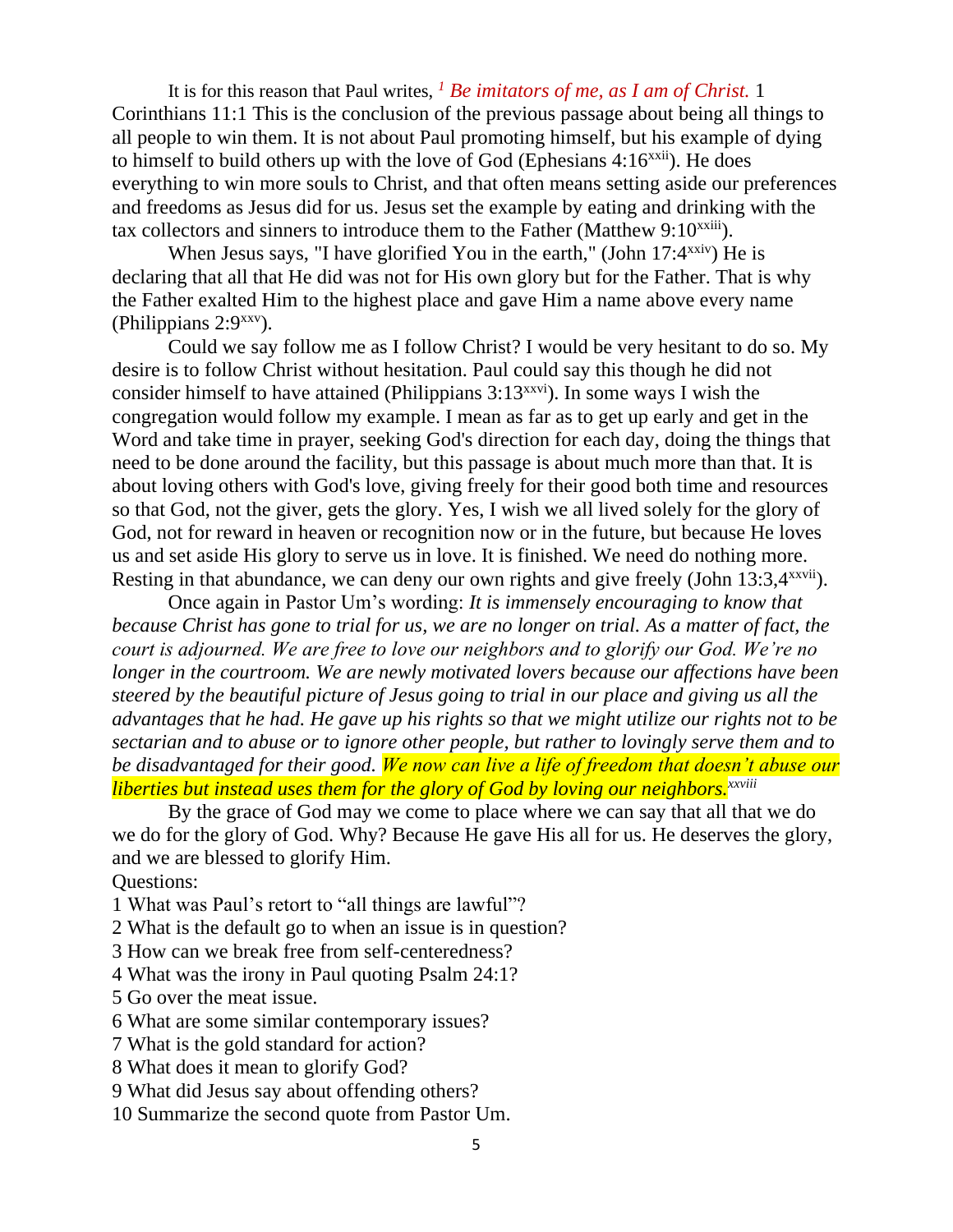It is for this reason that Paul writes, *<sup>1</sup> Be imitators of me, as I am of Christ.* 1 Corinthians 11:1 This is the conclusion of the previous passage about being all things to all people to win them. It is not about Paul promoting himself, but his example of dying to himself to build others up with the love of God (Ephesians  $4:16^{xxii}$ ). He does everything to win more souls to Christ, and that often means setting aside our preferences and freedoms as Jesus did for us. Jesus set the example by eating and drinking with the tax collectors and sinners to introduce them to the Father (Matthew 9:10<sup>xxiii</sup>).

When Jesus says, "I have glorified You in the earth," (John  $17:4^{xxiv}$ ) He is declaring that all that He did was not for His own glory but for the Father. That is why the Father exalted Him to the highest place and gave Him a name above every name (Philippians 2:9xxv).

Could we say follow me as I follow Christ? I would be very hesitant to do so. My desire is to follow Christ without hesitation. Paul could say this though he did not consider himself to have attained (Philippians  $3:13^{xxvi}$ ). In some ways I wish the congregation would follow my example. I mean as far as to get up early and get in the Word and take time in prayer, seeking God's direction for each day, doing the things that need to be done around the facility, but this passage is about much more than that. It is about loving others with God's love, giving freely for their good both time and resources so that God, not the giver, gets the glory. Yes, I wish we all lived solely for the glory of God, not for reward in heaven or recognition now or in the future, but because He loves us and set aside His glory to serve us in love. It is finished. We need do nothing more. Resting in that abundance, we can deny our own rights and give freely (John 13:3,4<sup>xxvii</sup>).

Once again in Pastor Um's wording: *It is immensely encouraging to know that because Christ has gone to trial for us, we are no longer on trial. As a matter of fact, the court is adjourned. We are free to love our neighbors and to glorify our God. We're no longer in the courtroom. We are newly motivated lovers because our affections have been steered by the beautiful picture of Jesus going to trial in our place and giving us all the advantages that he had. He gave up his rights so that we might utilize our rights not to be sectarian and to abuse or to ignore other people, but rather to lovingly serve them and to be disadvantaged for their good. We now can live a life of freedom that doesn't abuse our liberties but instead uses them for the glory of God by loving our neighbors.xxviii*

By the grace of God may we come to place where we can say that all that we do we do for the glory of God. Why? Because He gave His all for us. He deserves the glory, and we are blessed to glorify Him.

Questions:

1 What was Paul's retort to "all things are lawful"?

2 What is the default go to when an issue is in question?

3 How can we break free from self-centeredness?

4 What was the irony in Paul quoting Psalm 24:1?

5 Go over the meat issue.

6 What are some similar contemporary issues?

7 What is the gold standard for action?

8 What does it mean to glorify God?

9 What did Jesus say about offending others?

10 Summarize the second quote from Pastor Um.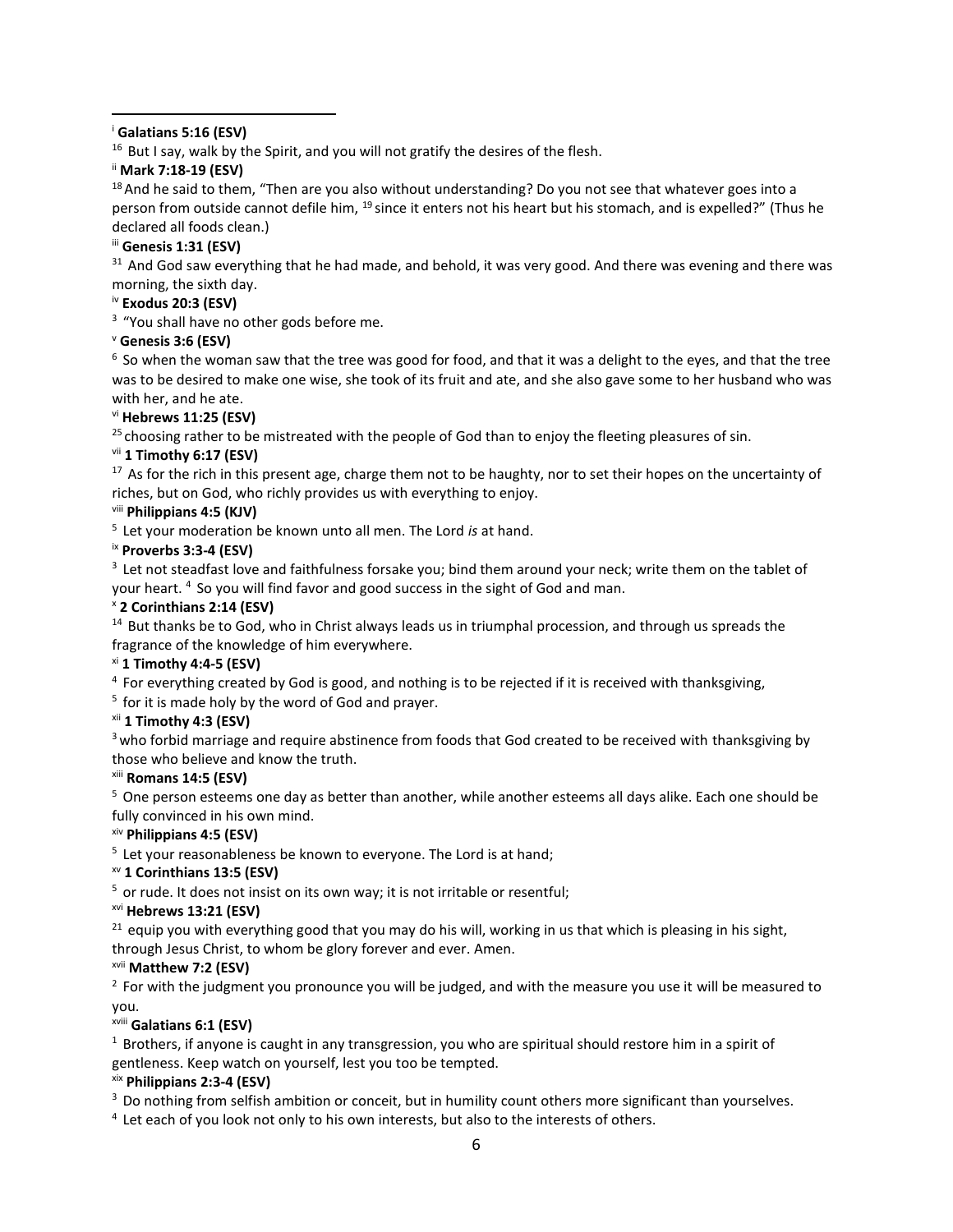<sup>i</sup> **Galatians 5:16 (ESV)** 

 $16$  But I say, walk by the Spirit, and you will not gratify the desires of the flesh.

ii **Mark 7:18-19 (ESV)** 

 $18$  And he said to them, "Then are you also without understanding? Do you not see that whatever goes into a person from outside cannot defile him, <sup>19</sup> since it enters not his heart but his stomach, and is expelled?" (Thus he declared all foods clean.)

# iii **Genesis 1:31 (ESV)**

<sup>31</sup> And God saw everything that he had made, and behold, it was very good. And there was evening and there was morning, the sixth day.

# iv **Exodus 20:3 (ESV)**

<sup>3</sup> "You shall have no other gods before me.

# <sup>v</sup> **Genesis 3:6 (ESV)**

 $6$  So when the woman saw that the tree was good for food, and that it was a delight to the eyes, and that the tree was to be desired to make one wise, she took of its fruit and ate, and she also gave some to her husband who was with her, and he ate.

# vi **Hebrews 11:25 (ESV)**

<sup>25</sup> choosing rather to be mistreated with the people of God than to enjoy the fleeting pleasures of sin.

# vii **1 Timothy 6:17 (ESV)**

 $17$  As for the rich in this present age, charge them not to be haughty, nor to set their hopes on the uncertainty of riches, but on God, who richly provides us with everything to enjoy.

# viii **Philippians 4:5 (KJV)**

<sup>5</sup>Let your moderation be known unto all men. The Lord *is* at hand.

### ix **Proverbs 3:3-4 (ESV)**

<sup>3</sup> Let not steadfast love and faithfulness forsake you; bind them around your neck; write them on the tablet of your heart. <sup>4</sup> So you will find favor and good success in the sight of God and man.

### <sup>x</sup> **2 Corinthians 2:14 (ESV)**

 $14$  But thanks be to God, who in Christ always leads us in triumphal procession, and through us spreads the fragrance of the knowledge of him everywhere.

### xi **1 Timothy 4:4-5 (ESV)**

<sup>4</sup> For everything created by God is good, and nothing is to be rejected if it is received with thanksgiving,

 $5$  for it is made holy by the word of God and prayer.

### xii **1 Timothy 4:3 (ESV)**

<sup>3</sup> who forbid marriage and require abstinence from foods that God created to be received with thanksgiving by those who believe and know the truth.

# xiii **Romans 14:5 (ESV)**

<sup>5</sup> One person esteems one day as better than another, while another esteems all days alike. Each one should be fully convinced in his own mind.

### xiv **Philippians 4:5 (ESV)**

 $5$  Let your reasonableness be known to everyone. The Lord is at hand;

### xv **1 Corinthians 13:5 (ESV)**

 $5$  or rude. It does not insist on its own way; it is not irritable or resentful;

### xvi **Hebrews 13:21 (ESV)**

 $21$  equip you with everything good that you may do his will, working in us that which is pleasing in his sight, through Jesus Christ, to whom be glory forever and ever. Amen.

### xvii **Matthew 7:2 (ESV)**

 $<sup>2</sup>$  For with the judgment you pronounce you will be judged, and with the measure you use it will be measured to</sup> you.

### xviii **Galatians 6:1 (ESV)**

 $1$  Brothers, if anyone is caught in any transgression, you who are spiritual should restore him in a spirit of gentleness. Keep watch on yourself, lest you too be tempted.

# xix **Philippians 2:3-4 (ESV)**

<sup>3</sup> Do nothing from selfish ambition or conceit, but in humility count others more significant than yourselves.

<sup>4</sup> Let each of you look not only to his own interests, but also to the interests of others.